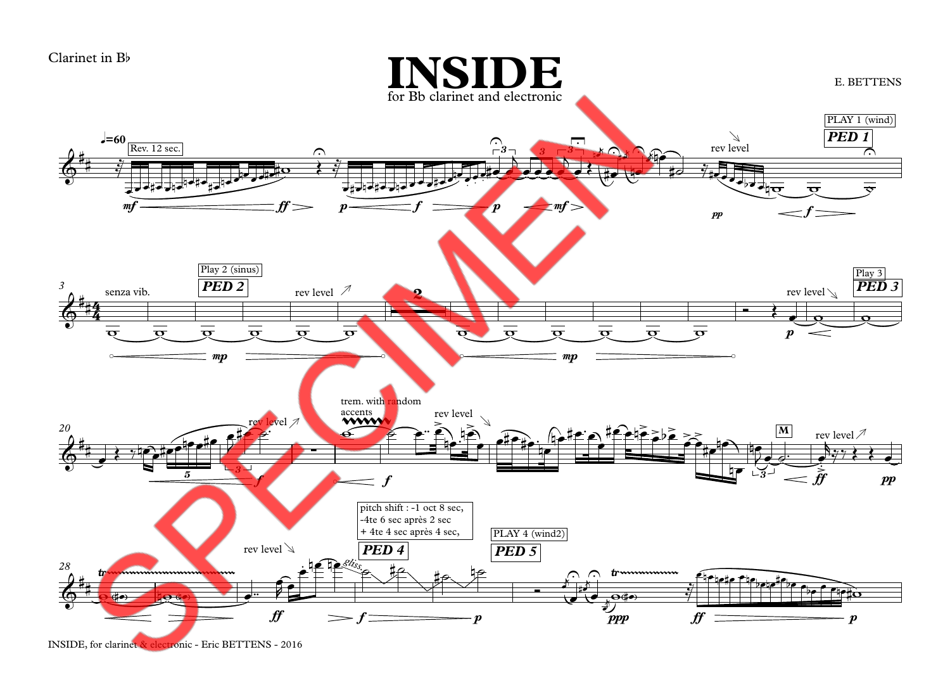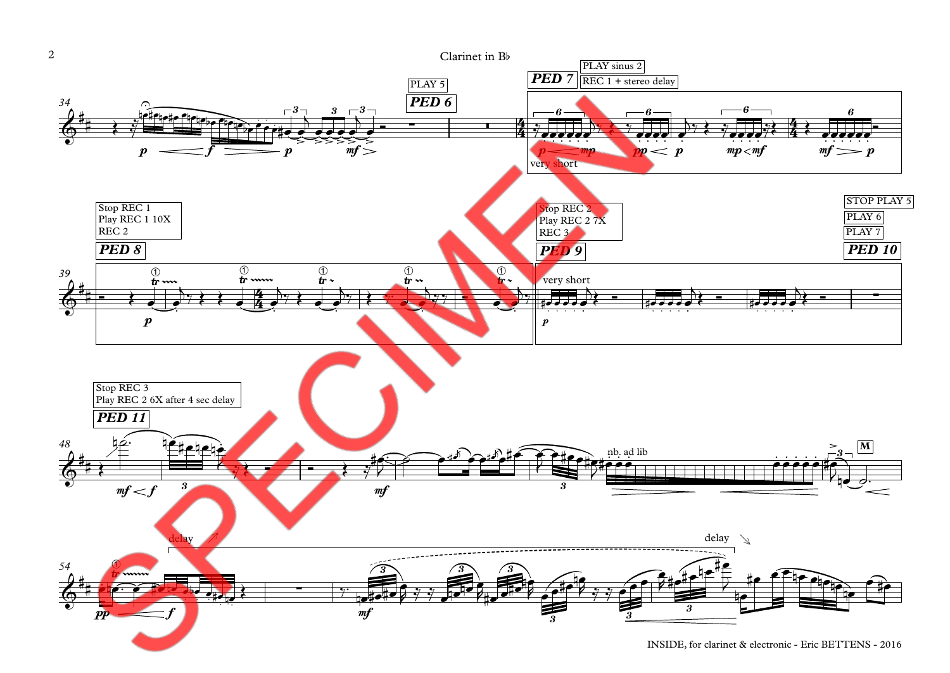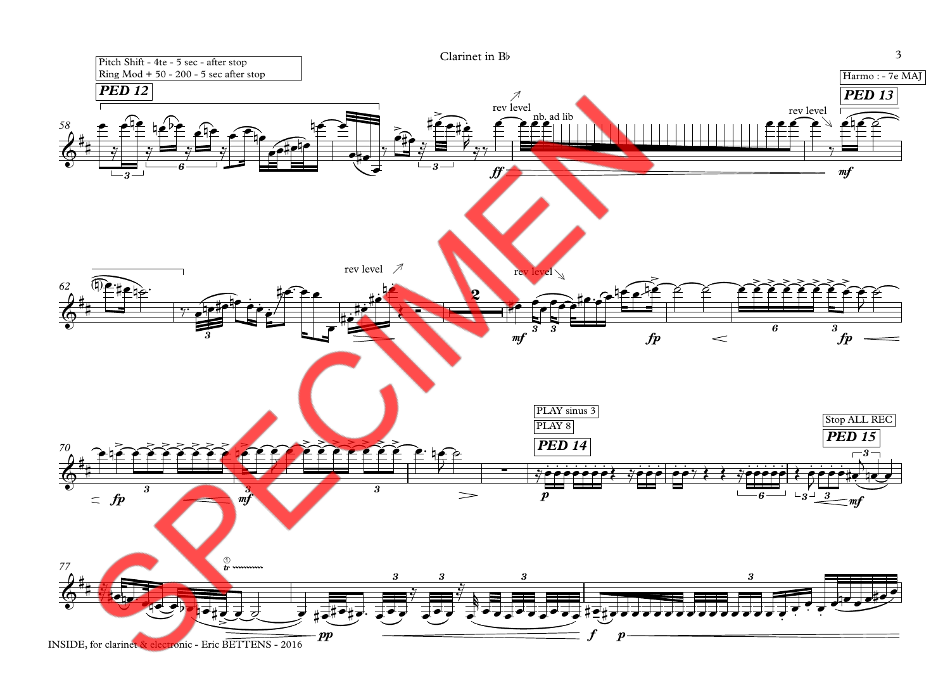